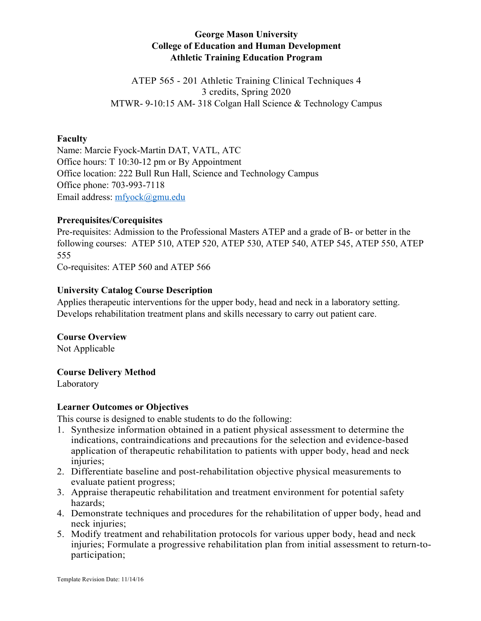# **George Mason University College of Education and Human Development Athletic Training Education Program**

# ATEP 565 - 201 Athletic Training Clinical Techniques 4 3 credits, Spring 2020 MTWR- 9-10:15 AM- 318 Colgan Hall Science & Technology Campus

### **Faculty**

Name: Marcie Fyock-Martin DAT, VATL, ATC Office hours: T 10:30-12 pm or By Appointment Office location: 222 Bull Run Hall, Science and Technology Campus Office phone: 703-993-7118 Email address: mfyock@gmu.edu

### **Prerequisites/Corequisites**

Pre-requisites: Admission to the Professional Masters ATEP and a grade of B- or better in the following courses: ATEP 510, ATEP 520, ATEP 530, ATEP 540, ATEP 545, ATEP 550, ATEP 555

Co-requisites: ATEP 560 and ATEP 566

### **University Catalog Course Description**

Applies therapeutic interventions for the upper body, head and neck in a laboratory setting. Develops rehabilitation treatment plans and skills necessary to carry out patient care.

# **Course Overview**

Not Applicable

# **Course Delivery Method**

Laboratory

# **Learner Outcomes or Objectives**

This course is designed to enable students to do the following:

- 1. Synthesize information obtained in a patient physical assessment to determine the indications, contraindications and precautions for the selection and evidence-based application of therapeutic rehabilitation to patients with upper body, head and neck injuries;
- 2. Differentiate baseline and post-rehabilitation objective physical measurements to evaluate patient progress;
- 3. Appraise therapeutic rehabilitation and treatment environment for potential safety hazards;
- 4. Demonstrate techniques and procedures for the rehabilitation of upper body, head and neck injuries;
- 5. Modify treatment and rehabilitation protocols for various upper body, head and neck injuries; Formulate a progressive rehabilitation plan from initial assessment to return-toparticipation;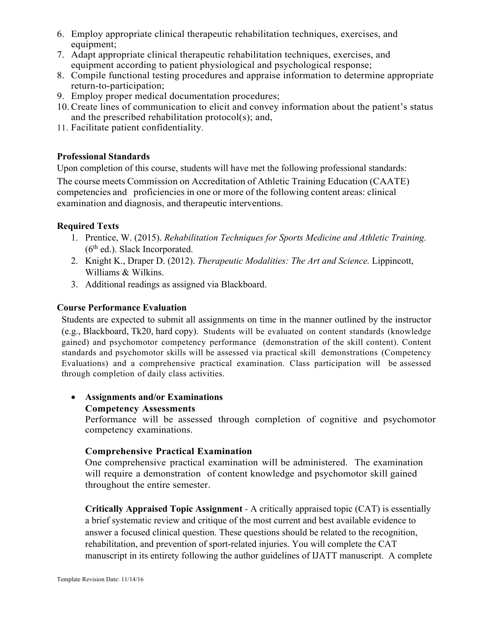- 6. Employ appropriate clinical therapeutic rehabilitation techniques, exercises, and equipment;
- 7. Adapt appropriate clinical therapeutic rehabilitation techniques, exercises, and equipment according to patient physiological and psychological response;
- 8. Compile functional testing procedures and appraise information to determine appropriate return-to-participation;
- 9. Employ proper medical documentation procedures;
- 10.Create lines of communication to elicit and convey information about the patient's status and the prescribed rehabilitation protocol(s); and,
- 11. Facilitate patient confidentiality.

### **Professional Standards**

Upon completion of this course, students will have met the following professional standards:

The course meets Commission on Accreditation of Athletic Training Education (CAATE) competencies and proficiencies in one or more of the following content areas: clinical examination and diagnosis, and therapeutic interventions.

### **Required Texts**

- 1. Prentice, W. (2015). *Rehabilitation Techniques for Sports Medicine and Athletic Training.*   $(6<sup>th</sup>$  ed.). Slack Incorporated.
- 2. Knight K., Draper D. (2012). *Therapeutic Modalities: The Art and Science.* Lippincott, Williams & Wilkins.
- 3. Additional readings as assigned via Blackboard.

# **Course Performance Evaluation**

Students are expected to submit all assignments on time in the manner outlined by the instructor (e.g., Blackboard, Tk20, hard copy). Students will be evaluated on content standards (knowledge gained) and psychomotor competency performance (demonstration of the skill content). Content standards and psychomotor skills will be assessed via practical skill demonstrations (Competency Evaluations) and a comprehensive practical examination. Class participation will be assessed through completion of daily class activities.

#### • **Assignments and/or Examinations Competency Assessments**

Performance will be assessed through completion of cognitive and psychomotor competency examinations.

### **Comprehensive Practical Examination**

One comprehensive practical examination will be administered. The examination will require a demonstration of content knowledge and psychomotor skill gained throughout the entire semester.

**Critically Appraised Topic Assignment** *-* A critically appraised topic (CAT) is essentially a brief systematic review and critique of the most current and best available evidence to answer a focused clinical question. These questions should be related to the recognition, rehabilitation, and prevention of sport-related injuries. You will complete the CAT manuscript in its entirety following the author guidelines of IJATT manuscript. A complete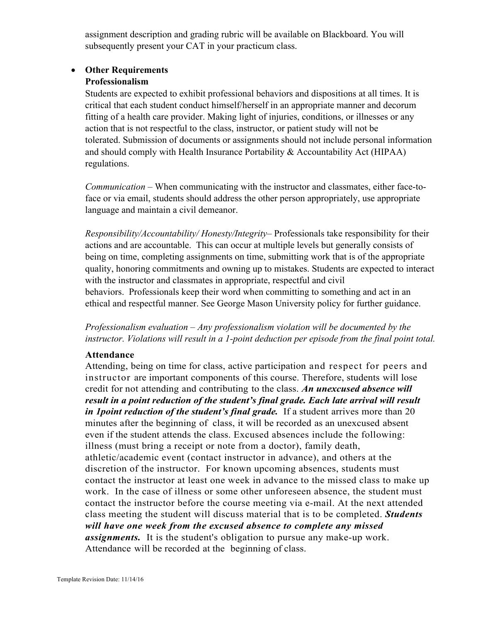assignment description and grading rubric will be available on Blackboard. You will subsequently present your CAT in your practicum class.

### • **Other Requirements Professionalism**

Students are expected to exhibit professional behaviors and dispositions at all times. It is critical that each student conduct himself/herself in an appropriate manner and decorum fitting of a health care provider. Making light of injuries, conditions, or illnesses or any action that is not respectful to the class, instructor, or patient study will not be tolerated. Submission of documents or assignments should not include personal information and should comply with Health Insurance Portability & Accountability Act (HIPAA) regulations.

*Communication* – When communicating with the instructor and classmates, either face-toface or via email, students should address the other person appropriately, use appropriate language and maintain a civil demeanor.

*Responsibility/Accountability/ Honesty/Integrity*– Professionals take responsibility for their actions and are accountable. This can occur at multiple levels but generally consists of being on time, completing assignments on time, submitting work that is of the appropriate quality, honoring commitments and owning up to mistakes. Students are expected to interact with the instructor and classmates in appropriate, respectful and civil behaviors. Professionals keep their word when committing to something and act in an ethical and respectful manner. See George Mason University policy for further guidance.

*Professionalism evaluation – Any professionalism violation will be documented by the instructor. Violations will result in a 1-point deduction per episode from the final point total.*

# **Attendance**

Attending, being on time for class, active participation and respect for peers and instructor are important components of this course. Therefore, students will lose credit for not attending and contributing to the class. *An unexcused absence will result in a point reduction of the student's final grade. Each late arrival will result in 1 point reduction of the student's final grade.* If a student arrives more than 20 minutes after the beginning of class, it will be recorded as an unexcused absent even if the student attends the class. Excused absences include the following: illness (must bring a receipt or note from a doctor), family death, athletic/academic event (contact instructor in advance), and others at the discretion of the instructor. For known upcoming absences, students must contact the instructor at least one week in advance to the missed class to make up work. In the case of illness or some other unforeseen absence, the student must contact the instructor before the course meeting via e-mail. At the next attended class meeting the student will discuss material that is to be completed. *Students will have one week from the excused absence to complete any missed assignments.* It is the student's obligation to pursue any make-up work. Attendance will be recorded at the beginning of class.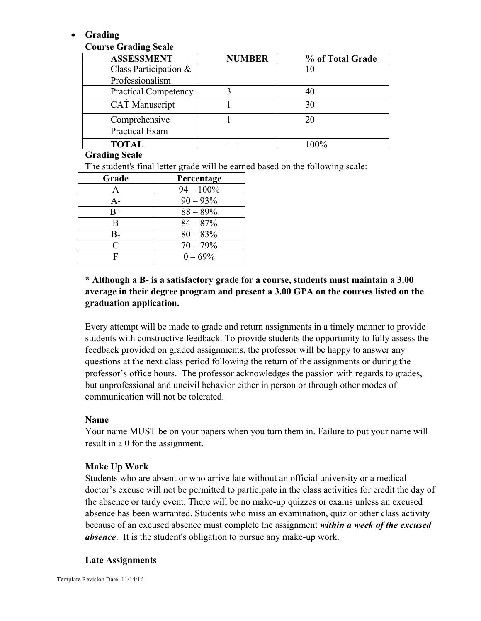### • **Grading**

# **Course Grading Scale**

| <b>ASSESSMENT</b>           | <b>NUMBER</b> | % of Total Grade |
|-----------------------------|---------------|------------------|
| Class Participation $\&$    |               |                  |
| Professionalism             |               |                  |
| <b>Practical Competency</b> |               |                  |
| <b>CAT Manuscript</b>       |               | 30               |
| Comprehensive               |               | 20               |
| <b>Practical Exam</b>       |               |                  |
| TOTAL                       |               | $00\%$           |

### **Grading Scale**

The student's final letter grade will be earned based on the following scale:

| Grade                       | Percentage   |  |
|-----------------------------|--------------|--|
| Α                           | $94 - 100\%$ |  |
| A-                          | $90 - 93\%$  |  |
| $B+$                        | $88 - 89\%$  |  |
| В                           | $84 - 87\%$  |  |
| В-                          | $80 - 83\%$  |  |
| $\mathcal{C}_{\mathcal{C}}$ | $70 - 79%$   |  |
| F                           | $0 - 69\%$   |  |

# **\* Although a B- is a satisfactory grade for a course, students must maintain a 3.00 average in their degree program and present a 3.00 GPA on the courses listed on the graduation application.**

Every attempt will be made to grade and return assignments in a timely manner to provide students with constructive feedback. To provide students the opportunity to fully assess the feedback provided on graded assignments, the professor will be happy to answer any questions at the next class period following the return of the assignments or during the professor's office hours. The professor acknowledges the passion with regards to grades, but unprofessional and uncivil behavior either in person or through other modes of communication will not be tolerated.

# **Name**

Your name MUST be on your papers when you turn them in. Failure to put your name will result in a 0 for the assignment.

# **Make Up Work**

Students who are absent or who arrive late without an official university or a medical doctor's excuse will not be permitted to participate in the class activities for credit the day of the absence or tardy event. There will be no make-up quizzes or exams unless an excused absence has been warranted. Students who miss an examination, quiz or other class activity because of an excused absence must complete the assignment *within a week of the excused absence*. It is the student's obligation to pursue any make-up work.

### **Late Assignments**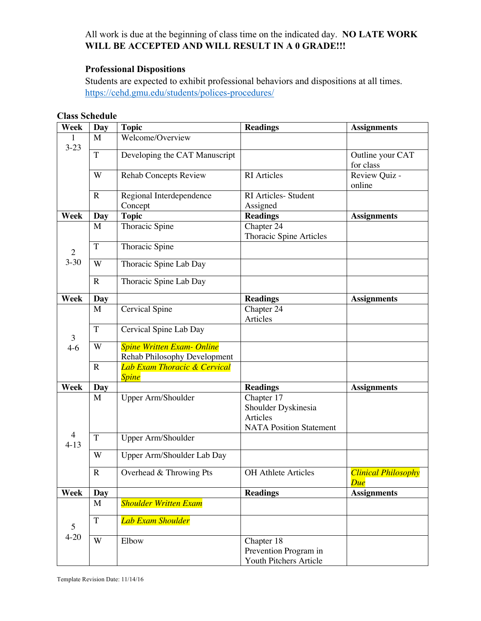# All work is due at the beginning of class time on the indicated day. **NO LATE WORK WILL BE ACCEPTED AND WILL RESULT IN A 0 GRADE!!!**

# **Professional Dispositions**

Students are expected to exhibit professional behaviors and dispositions at all times. https://cehd.gmu.edu/students/polices-procedures/

| <b>Class Schedule</b> |  |
|-----------------------|--|
|-----------------------|--|

| Week                       | <b>Day</b>  | <b>Topic</b>                                                             | <b>Readings</b>                                                                 | <b>Assignments</b>                |
|----------------------------|-------------|--------------------------------------------------------------------------|---------------------------------------------------------------------------------|-----------------------------------|
| 1<br>$3 - 23$              | M           | Welcome/Overview                                                         |                                                                                 |                                   |
|                            | T           | Developing the CAT Manuscript                                            |                                                                                 | Outline your CAT<br>for class     |
|                            | W           | <b>Rehab Concepts Review</b>                                             | <b>RI</b> Articles                                                              | Review Quiz -<br>online           |
|                            | $\mathbf R$ | Regional Interdependence<br>Concept                                      | RI Articles- Student<br>Assigned                                                |                                   |
| Week                       | Day         | <b>Topic</b>                                                             | <b>Readings</b>                                                                 | <b>Assignments</b>                |
|                            | M           | Thoracic Spine                                                           | Chapter 24<br>Thoracic Spine Articles                                           |                                   |
| $\overline{2}$             | $\mathbf T$ | Thoracic Spine                                                           |                                                                                 |                                   |
| $3 - 30$                   | W           | Thoracic Spine Lab Day                                                   |                                                                                 |                                   |
|                            | $\mathbf R$ | Thoracic Spine Lab Day                                                   |                                                                                 |                                   |
| <b>Week</b>                | Day         |                                                                          | <b>Readings</b>                                                                 | <b>Assignments</b>                |
|                            | M           | Cervical Spine                                                           | Chapter 24<br>Articles                                                          |                                   |
| 3                          | T           | Cervical Spine Lab Day                                                   |                                                                                 |                                   |
| $4-6$                      | W           | <b>Spine Written Exam- Online</b><br><b>Rehab Philosophy Development</b> |                                                                                 |                                   |
|                            | $\mathbf R$ | <b>Lab Exam Thoracic &amp; Cervical</b><br><b>Spine</b>                  |                                                                                 |                                   |
| Week                       | <b>Day</b>  |                                                                          | <b>Readings</b>                                                                 | <b>Assignments</b>                |
|                            | M           | Upper Arm/Shoulder                                                       | Chapter 17<br>Shoulder Dyskinesia<br>Articles<br><b>NATA Position Statement</b> |                                   |
| $\overline{4}$<br>$4 - 13$ | $\mathbf T$ | Upper Arm/Shoulder                                                       |                                                                                 |                                   |
|                            | W           | Upper Arm/Shoulder Lab Day                                               |                                                                                 |                                   |
|                            | ${\bf R}$   | Overhead & Throwing Pts                                                  | <b>OH</b> Athlete Articles                                                      | <b>Clinical Philosophy</b><br>Due |
| Week                       | Day         |                                                                          | <b>Readings</b>                                                                 | <b>Assignments</b>                |
|                            | M           | <b>Shoulder Written Exam</b>                                             |                                                                                 |                                   |
| 5<br>$4 - 20$              | $\mathbf T$ | Lab Exam Shoulder                                                        |                                                                                 |                                   |
|                            | W           | Elbow                                                                    | Chapter 18<br>Prevention Program in<br>Youth Pitchers Article                   |                                   |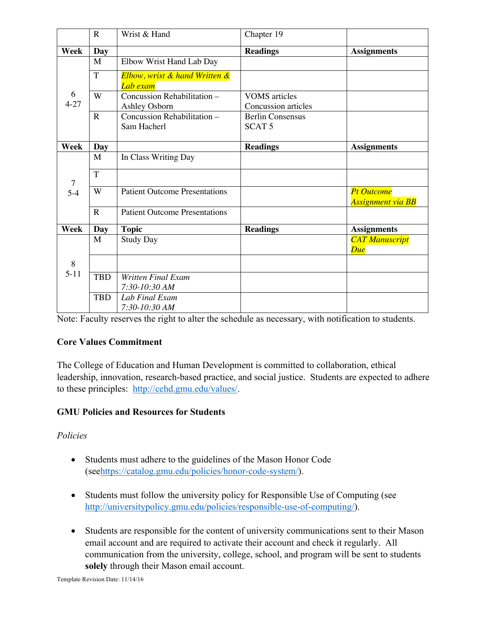|                | $\mathbf R$    | Wrist & Hand                                 | Chapter 19                                   |                                               |
|----------------|----------------|----------------------------------------------|----------------------------------------------|-----------------------------------------------|
| Week           | Day            |                                              | <b>Readings</b>                              | <b>Assignments</b>                            |
|                | M              | Elbow Wrist Hand Lab Day                     |                                              |                                               |
|                | $\overline{T}$ | Elbow, wrist & hand Written &<br>Lab exam    |                                              |                                               |
| 6<br>$4 - 27$  | W              | Concussion Rehabilitation -<br>Ashley Osborn | <b>VOMS</b> articles<br>Concussion articles  |                                               |
|                | $\mathbf R$    | Concussion Rehabilitation -<br>Sam Hacherl   | <b>Berlin Consensus</b><br>SCAT <sub>5</sub> |                                               |
| Week           | Day            |                                              | <b>Readings</b>                              | <b>Assignments</b>                            |
|                | M              | In Class Writing Day                         |                                              |                                               |
| $\overline{7}$ | T              |                                              |                                              |                                               |
| $5-4$          | W              | <b>Patient Outcome Presentations</b>         |                                              | <b>Pt Outcome</b><br><b>Assignment via BB</b> |
|                | $\mathbf R$    | <b>Patient Outcome Presentations</b>         |                                              |                                               |
| Week           | Day            | <b>Topic</b>                                 | <b>Readings</b>                              | <b>Assignments</b>                            |
|                | M              | <b>Study Day</b>                             |                                              | <b>CAT Manuscript</b><br>Due                  |
| 8              |                |                                              |                                              |                                               |
| $5 - 11$       | <b>TBD</b>     | <b>Written Final Exam</b><br>7:30-10:30 AM   |                                              |                                               |
|                | <b>TBD</b>     | Lab Final Exam<br>7:30-10:30 AM              |                                              |                                               |

Note: Faculty reserves the right to alter the schedule as necessary, with notification to students.

# **Core Values Commitment**

The College of Education and Human Development is committed to collaboration, ethical leadership, innovation, research-based practice, and social justice. Students are expected to adhere to these principles: http://cehd.gmu.edu/values/.

# **GMU Policies and Resources for Students**

### *Policies*

- Students must adhere to the guidelines of the Mason Honor Code (seehttps://catalog.gmu.edu/policies/honor-code-system/).
- Students must follow the university policy for Responsible Use of Computing (see http://universitypolicy.gmu.edu/policies/responsible-use-of-computing/).
- Students are responsible for the content of university communications sent to their Mason email account and are required to activate their account and check it regularly. All communication from the university, college, school, and program will be sent to students **solely** through their Mason email account.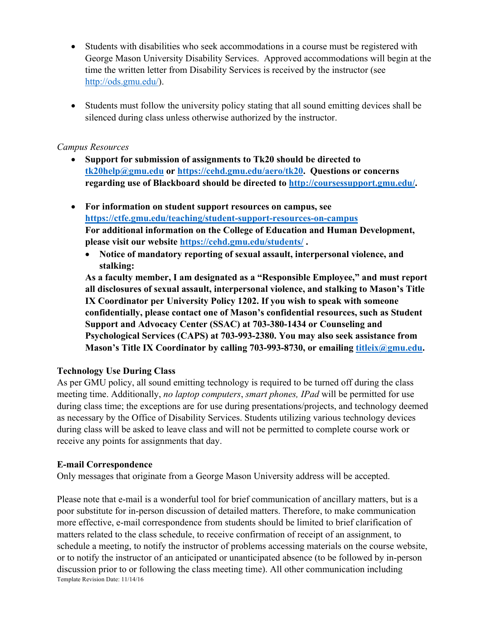- Students with disabilities who seek accommodations in a course must be registered with George Mason University Disability Services. Approved accommodations will begin at the time the written letter from Disability Services is received by the instructor (see http://ods.gmu.edu/).
- Students must follow the university policy stating that all sound emitting devices shall be silenced during class unless otherwise authorized by the instructor.

### *Campus Resources*

- **Support for submission of assignments to Tk20 should be directed to tk20help@gmu.edu or https://cehd.gmu.edu/aero/tk20. Questions or concerns regarding use of Blackboard should be directed to http://coursessupport.gmu.edu/.**
- **For information on student support resources on campus, see https://ctfe.gmu.edu/teaching/student-support-resources-on-campus For additional information on the College of Education and Human Development, please visit our website https://cehd.gmu.edu/students/ .**
	- **Notice of mandatory reporting of sexual assault, interpersonal violence, and stalking:**

**As a faculty member, I am designated as a "Responsible Employee," and must report all disclosures of sexual assault, interpersonal violence, and stalking to Mason's Title IX Coordinator per University Policy 1202. If you wish to speak with someone confidentially, please contact one of Mason's confidential resources, such as Student Support and Advocacy Center (SSAC) at 703-380-1434 or Counseling and Psychological Services (CAPS) at 703-993-2380. You may also seek assistance from Mason's Title IX Coordinator by calling 703-993-8730, or emailing titleix@gmu.edu.**

# **Technology Use During Class**

As per GMU policy, all sound emitting technology is required to be turned off during the class meeting time. Additionally, *no laptop computers*, *smart phones, IPad* will be permitted for use during class time; the exceptions are for use during presentations/projects, and technology deemed as necessary by the Office of Disability Services. Students utilizing various technology devices during class will be asked to leave class and will not be permitted to complete course work or receive any points for assignments that day.

### **E-mail Correspondence**

Only messages that originate from a George Mason University address will be accepted.

Template Revision Date: 11/14/16 Please note that e-mail is a wonderful tool for brief communication of ancillary matters, but is a poor substitute for in-person discussion of detailed matters. Therefore, to make communication more effective, e-mail correspondence from students should be limited to brief clarification of matters related to the class schedule, to receive confirmation of receipt of an assignment, to schedule a meeting, to notify the instructor of problems accessing materials on the course website, or to notify the instructor of an anticipated or unanticipated absence (to be followed by in-person discussion prior to or following the class meeting time). All other communication including